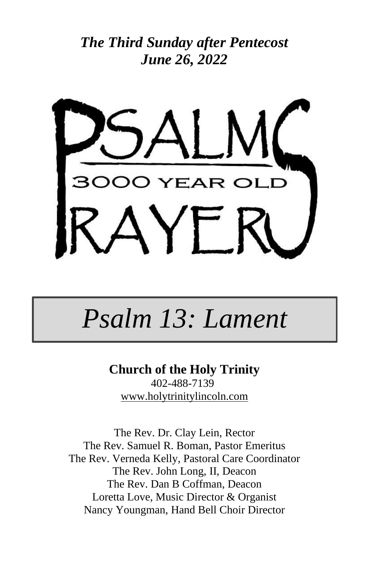



# *Psalm 13: Lament*

**Church of the Holy Trinity** 402-488-7139 [www.holytrinitylincoln.com](http://www.holytrinitylincoln.com/)

The Rev. Dr. Clay Lein, Rector The Rev. Samuel R. Boman, Pastor Emeritus The Rev. Verneda Kelly, Pastoral Care Coordinator The Rev. John Long, II, Deacon The Rev. Dan B Coffman, Deacon Loretta Love, Music Director & Organist Nancy Youngman, Hand Bell Choir Director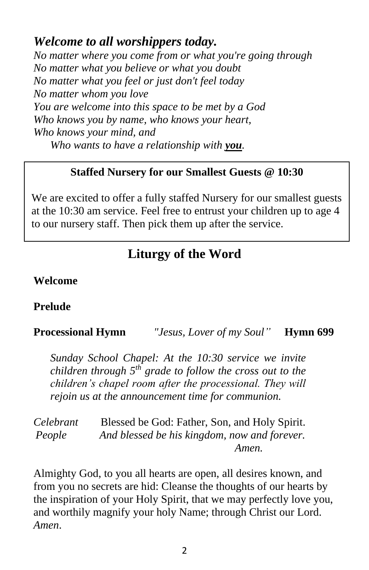### *Welcome to all worshippers today.*

*No matter where you come from or what you're going through No matter what you believe or what you doubt No matter what you feel or just don't feel today No matter whom you love You are welcome into this space to be met by a God Who knows you by name, who knows your heart, Who knows your mind, and Who wants to have a relationship with you.*

#### **Staffed Nursery for our Smallest Guests @ 10:30**

We are excited to offer a fully staffed Nursery for our smallest guests at the 10:30 am service. Feel free to entrust your children up to age 4 to our nursery staff. Then pick them up after the service.

## **Liturgy of the Word**

#### **Welcome**

#### **Prelude**

#### **Processional Hymn** *"Jesus, Lover of my Soul"* **Hymn 699**

*Sunday School Chapel: At the 10:30 service we invite children through 5th grade to follow the cross out to the children's chapel room after the processional. They will rejoin us at the announcement time for communion.*

*Celebrant* Blessed be God: Father, Son, and Holy Spirit. *People And blessed be his kingdom, now and forever. Amen.*

Almighty God, to you all hearts are open, all desires known, and from you no secrets are hid: Cleanse the thoughts of our hearts by the inspiration of your Holy Spirit, that we may perfectly love you, and worthily magnify your holy Name; through Christ our Lord. *Amen*.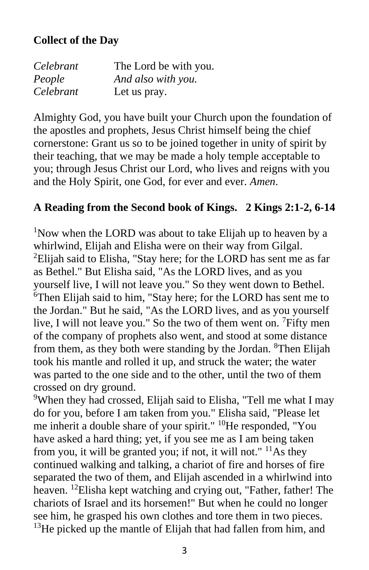#### **Collect of the Day**

| Celebrant | The Lord be with you. |
|-----------|-----------------------|
| People    | And also with you.    |
| Celebrant | Let us pray.          |

Almighty God, you have built your Church upon the foundation of the apostles and prophets, Jesus Christ himself being the chief cornerstone: Grant us so to be joined together in unity of spirit by their teaching, that we may be made a holy temple acceptable to you; through Jesus Christ our Lord, who lives and reigns with you and the Holy Spirit, one God, for ever and ever. *Amen*.

#### **A Reading from the Second book of Kings. 2 Kings 2:1-2, 6-14**

<sup>1</sup>Now when the LORD was about to take Elijah up to heaven by a whirlwind, Elijah and Elisha were on their way from Gilgal. <sup>2</sup>Elijah said to Elisha, "Stay here; for the LORD has sent me as far as Bethel." But Elisha said, "As the LORD lives, and as you yourself live, I will not leave you." So they went down to Bethel. <sup>6</sup>Then Elijah said to him, "Stay here; for the LORD has sent me to the Jordan." But he said, "As the LORD lives, and as you yourself live, I will not leave you." So the two of them went on. <sup>7</sup>Fifty men of the company of prophets also went, and stood at some distance from them, as they both were standing by the Jordan. <sup>8</sup>Then Elijah took his mantle and rolled it up, and struck the water; the water was parted to the one side and to the other, until the two of them crossed on dry ground.

<sup>9</sup>When they had crossed, Elijah said to Elisha, "Tell me what I may do for you, before I am taken from you." Elisha said, "Please let me inherit a double share of your spirit." <sup>10</sup>He responded, "You have asked a hard thing; yet, if you see me as I am being taken from you, it will be granted you; if not, it will not."  $^{11}$ As they continued walking and talking, a chariot of fire and horses of fire separated the two of them, and Elijah ascended in a whirlwind into heaven. <sup>12</sup>Elisha kept watching and crying out, "Father, father! The chariots of Israel and its horsemen!" But when he could no longer see him, he grasped his own clothes and tore them in two pieces.  $13$ He picked up the mantle of Elijah that had fallen from him, and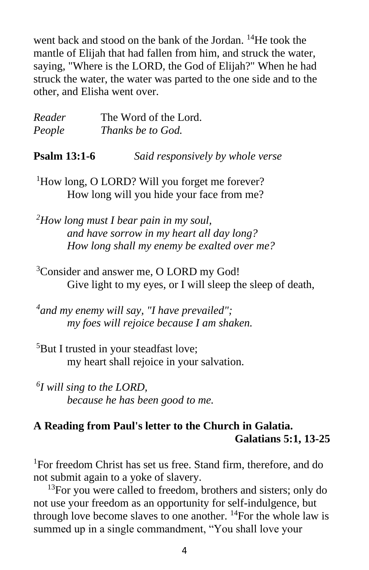went back and stood on the bank of the Jordan. <sup>14</sup>He took the mantle of Elijah that had fallen from him, and struck the water, saying, "Where is the LORD, the God of Elijah?" When he had struck the water, the water was parted to the one side and to the other, and Elisha went over.

| Reader              | The Word of the Lord.            |
|---------------------|----------------------------------|
| People              | <i>Thanks be to God.</i>         |
| <b>Psalm 13:1-6</b> | Said responsively by whole verse |

<sup>1</sup>How long, O LORD? Will you forget me forever? How long will you hide your face from me?

*<sup>2</sup>How long must I bear pain in my soul, and have sorrow in my heart all day long? How long shall my enemy be exalted over me?*

<sup>3</sup>Consider and answer me, O LORD my God! Give light to my eyes, or I will sleep the sleep of death,

*4 and my enemy will say, "I have prevailed"; my foes will rejoice because I am shaken.*

<sup>5</sup>But I trusted in your steadfast love; my heart shall rejoice in your salvation.

*6 I will sing to the LORD, because he has been good to me.*

#### **A Reading from Paul's letter to the Church in Galatia. Galatians 5:1, 13-25**

<sup>1</sup>For freedom Christ has set us free. Stand firm, therefore, and do not submit again to a yoke of slavery.

 $^{13}$ For you were called to freedom, brothers and sisters; only do not use your freedom as an opportunity for self-indulgence, but through love become slaves to one another.  $^{14}$ For the whole law is summed up in a single commandment, "You shall love your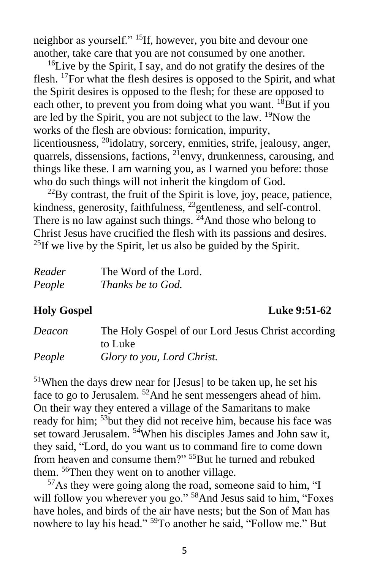neighbor as yourself." <sup>15</sup>If, however, you bite and devour one another, take care that you are not consumed by one another.

 $16$ Live by the Spirit, I say, and do not gratify the desires of the flesh. <sup>17</sup>For what the flesh desires is opposed to the Spirit, and what the Spirit desires is opposed to the flesh; for these are opposed to each other, to prevent you from doing what you want. <sup>18</sup>But if you are led by the Spirit, you are not subject to the law.  $\rm ^{19}Now$  the works of the flesh are obvious: fornication, impurity, licentiousness, <sup>20</sup>idolatry, sorcery, enmities, strife, jealousy, anger, quarrels, dissensions, factions,  $^{21}$ envy, drunkenness, carousing, and things like these. I am warning you, as I warned you before: those who do such things will not inherit the kingdom of God.

 $22$ By contrast, the fruit of the Spirit is love, joy, peace, patience, kindness, generosity, faithfulness, <sup>23</sup>gentleness, and self-control. There is no law against such things.  $24$ And those who belong to Christ Jesus have crucified the flesh with its passions and desires.  $^{25}$ If we live by the Spirit, let us also be guided by the Spirit.

| Reader | The Word of the Lord. |
|--------|-----------------------|
| People | Thanks be to God.     |

#### **Holy Gospel Luke 9:51-62**

| Deacon | The Holy Gospel of our Lord Jesus Christ according |
|--------|----------------------------------------------------|
|        | to Luke                                            |
| People | Glory to you, Lord Christ.                         |

<sup>51</sup>When the days drew near for [Jesus] to be taken up, he set his face to go to Jerusalem. <sup>52</sup>And he sent messengers ahead of him. On their way they entered a village of the Samaritans to make ready for him; <sup>53</sup>but they did not receive him, because his face was set toward Jerusalem. <sup>54</sup>When his disciples James and John saw it, they said, "Lord, do you want us to command fire to come down from heaven and consume them?" <sup>55</sup>But he turned and rebuked them. <sup>56</sup>Then they went on to another village.

 $57\text{As}$  they were going along the road, someone said to him, "I will follow you wherever you go."<sup>58</sup>And Jesus said to him, "Foxes" have holes, and birds of the air have nests; but the Son of Man has nowhere to lay his head." <sup>59</sup>To another he said, "Follow me." But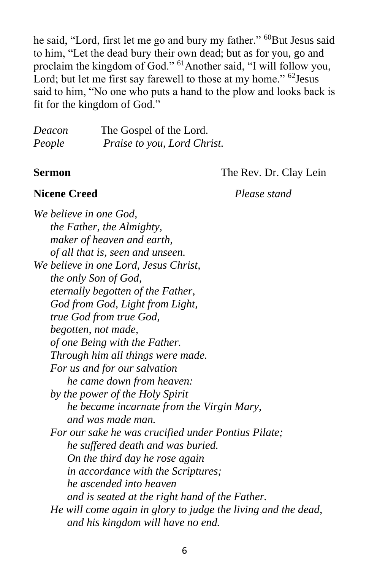he said, "Lord, first let me go and bury my father." <sup>60</sup>But Jesus said to him, "Let the dead bury their own dead; but as for you, go and proclaim the kingdom of God." <sup>61</sup>Another said, "I will follow you, Lord; but let me first say farewell to those at my home." <sup>62</sup> Jesus said to him, "No one who puts a hand to the plow and looks back is fit for the kingdom of God."

| Deacon | The Gospel of the Lord.     |
|--------|-----------------------------|
| People | Praise to you, Lord Christ. |

**Sermon** The Rev. Dr. Clay Lein

#### **Nicene Creed** *Please stand*

*We believe in one God, the Father, the Almighty, maker of heaven and earth, of all that is, seen and unseen. We believe in one Lord, Jesus Christ, the only Son of God, eternally begotten of the Father, God from God, Light from Light, true God from true God, begotten, not made, of one Being with the Father. Through him all things were made. For us and for our salvation he came down from heaven: by the power of the Holy Spirit he became incarnate from the Virgin Mary, and was made man. For our sake he was crucified under Pontius Pilate; he suffered death and was buried. On the third day he rose again in accordance with the Scriptures; he ascended into heaven and is seated at the right hand of the Father. He will come again in glory to judge the living and the dead, and his kingdom will have no end.*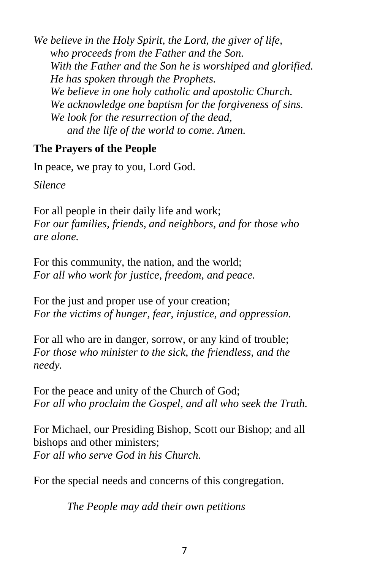*We believe in the Holy Spirit, the Lord, the giver of life, who proceeds from the Father and the Son. With the Father and the Son he is worshiped and glorified. He has spoken through the Prophets. We believe in one holy catholic and apostolic Church. We acknowledge one baptism for the forgiveness of sins. We look for the resurrection of the dead, and the life of the world to come. Amen.*

#### **The Prayers of the People**

In peace, we pray to you, Lord God.

*Silence*

For all people in their daily life and work; *For our families, friends, and neighbors, and for those who are alone.*

For this community, the nation, and the world; *For all who work for justice, freedom, and peace.*

For the just and proper use of your creation; *For the victims of hunger, fear, injustice, and oppression.*

For all who are in danger, sorrow, or any kind of trouble; *For those who minister to the sick, the friendless, and the needy.*

For the peace and unity of the Church of God; *For all who proclaim the Gospel, and all who seek the Truth.*

For Michael, our Presiding Bishop, Scott our Bishop; and all bishops and other ministers; *For all who serve God in his Church.*

For the special needs and concerns of this congregation.

*The People may add their own petitions*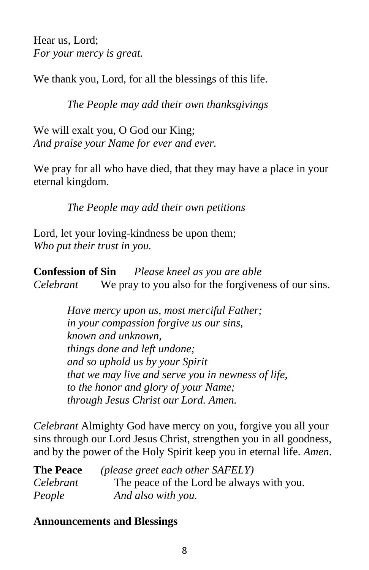Hear us, Lord; *For your mercy is great.*

We thank you, Lord, for all the blessings of this life.

*The People may add their own thanksgivings*

We will exalt you, O God our King; *And praise your Name for ever and ever.*

We pray for all who have died, that they may have a place in your eternal kingdom.

*The People may add their own petitions*

Lord, let your loving-kindness be upon them; *Who put their trust in you.*

**Confession of Sin** *Please kneel as you are able Celebrant* We pray to you also for the forgiveness of our sins.

> *Have mercy upon us, most merciful Father; in your compassion forgive us our sins, known and unknown, things done and left undone; and so uphold us by your Spirit that we may live and serve you in newness of life, to the honor and glory of your Name; through Jesus Christ our Lord. Amen.*

*Celebrant* Almighty God have mercy on you, forgive you all your sins through our Lord Jesus Christ, strengthen you in all goodness, and by the power of the Holy Spirit keep you in eternal life. *Amen*.

| <b>The Peace</b> | (please greet each other SAFELY)          |
|------------------|-------------------------------------------|
| Celebrant        | The peace of the Lord be always with you. |
| People           | And also with you.                        |

#### **Announcements and Blessings**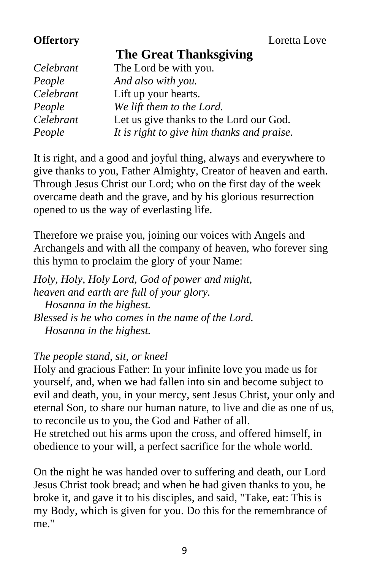|  |  | <b>The Great Thanksgiving</b> |
|--|--|-------------------------------|
|--|--|-------------------------------|

| Celebrant | The Lord be with you.                      |
|-----------|--------------------------------------------|
| People    | And also with you.                         |
| Celebrant | Lift up your hearts.                       |
| People    | We lift them to the Lord.                  |
| Celebrant | Let us give thanks to the Lord our God.    |
| People    | It is right to give him thanks and praise. |

It is right, and a good and joyful thing, always and everywhere to give thanks to you, Father Almighty, Creator of heaven and earth. Through Jesus Christ our Lord; who on the first day of the week overcame death and the grave, and by his glorious resurrection opened to us the way of everlasting life.

Therefore we praise you, joining our voices with Angels and Archangels and with all the company of heaven, who forever sing this hymn to proclaim the glory of your Name:

*Holy, Holy, Holy Lord, God of power and might, heaven and earth are full of your glory. Hosanna in the highest. Blessed is he who comes in the name of the Lord. Hosanna in the highest.*

#### *The people stand, sit, or kneel*

Holy and gracious Father: In your infinite love you made us for yourself, and, when we had fallen into sin and become subject to evil and death, you, in your mercy, sent Jesus Christ, your only and eternal Son, to share our human nature, to live and die as one of us, to reconcile us to you, the God and Father of all.

He stretched out his arms upon the cross, and offered himself, in obedience to your will, a perfect sacrifice for the whole world.

On the night he was handed over to suffering and death, our Lord Jesus Christ took bread; and when he had given thanks to you, he broke it, and gave it to his disciples, and said, "Take, eat: This is my Body, which is given for you. Do this for the remembrance of me."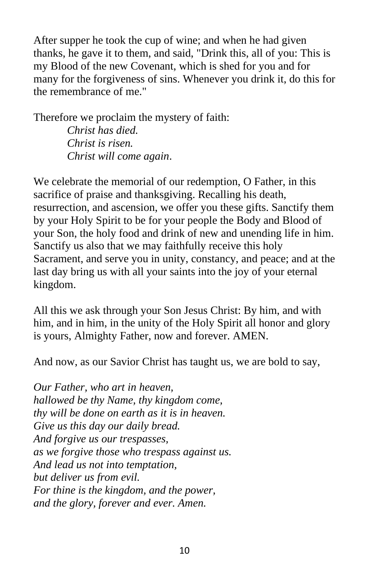After supper he took the cup of wine; and when he had given thanks, he gave it to them, and said, "Drink this, all of you: This is my Blood of the new Covenant, which is shed for you and for many for the forgiveness of sins. Whenever you drink it, do this for the remembrance of me."

Therefore we proclaim the mystery of faith: *Christ has died. Christ is risen. Christ will come again*.

We celebrate the memorial of our redemption, O Father, in this sacrifice of praise and thanksgiving. Recalling his death, resurrection, and ascension, we offer you these gifts. Sanctify them by your Holy Spirit to be for your people the Body and Blood of your Son, the holy food and drink of new and unending life in him. Sanctify us also that we may faithfully receive this holy Sacrament, and serve you in unity, constancy, and peace; and at the last day bring us with all your saints into the joy of your eternal kingdom.

All this we ask through your Son Jesus Christ: By him, and with him, and in him, in the unity of the Holy Spirit all honor and glory is yours, Almighty Father, now and forever. AMEN.

And now, as our Savior Christ has taught us, we are bold to say,

*Our Father, who art in heaven, hallowed be thy Name, thy kingdom come, thy will be done on earth as it is in heaven. Give us this day our daily bread. And forgive us our trespasses, as we forgive those who trespass against us. And lead us not into temptation, but deliver us from evil. For thine is the kingdom, and the power, and the glory, forever and ever. Amen.*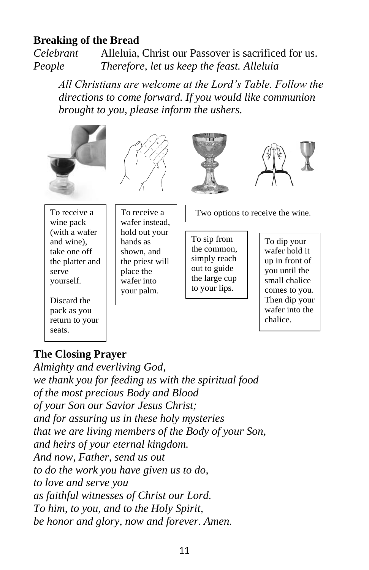#### **Breaking of the Bread**

*Celebrant* Alleluia, Christ our Passover is sacrificed for us. *People Therefore, let us keep the feast. Alleluia* 

*All Christians are welcome at the Lord's Table. Follow the directions to come forward. If you would like communion brought to you, please inform the ushers.* 









To receive a wine pack (with a wafer and wine), take one off the platter and serve yourself.

Discard the pack as you return to your seats.

To receive a wafer instead, hold out your hands as shown, and the priest will place the wafer into your palm.

Two options to receive the wine.

To sip from the common, simply reach out to guide the large cup to your lips.

To dip your wafer hold it up in front of you until the small chalice comes to you. Then dip your wafer into the chalice.

#### **The Closing Prayer**

*Almighty and everliving God, we thank you for feeding us with the spiritual food of the most precious Body and Blood of your Son our Savior Jesus Christ; and for assuring us in these holy mysteries that we are living members of the Body of your Son, and heirs of your eternal kingdom. And now, Father, send us out to do the work you have given us to do, to love and serve you as faithful witnesses of Christ our Lord. To him, to you, and to the Holy Spirit, be honor and glory, now and forever. Amen.*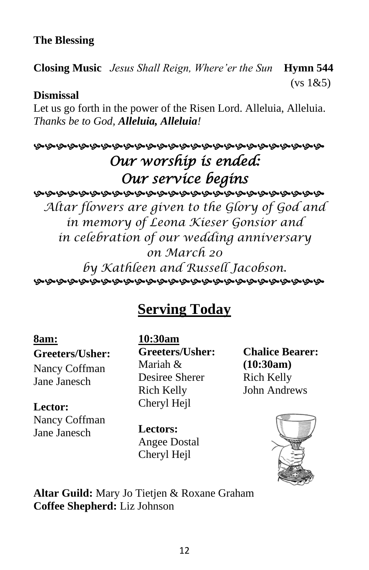#### **The Blessing**

**Closing Music** *Jesus Shall Reign, Where'er the Sun* **Hymn 544**  $(vs 1&65)$ 

#### **Dismissal**

Let us go forth in the power of the Risen Lord. Alleluia, Alleluia. *Thanks be to God, Alleluia, Alleluia!*

## *Our worship is ended: Our service begins Altar flowers are given to the Glory of God and in memory of Leona Kieser Gonsior and in celebration of our wedding anniversary*

*on March 20 by Kathleen and Russell Jacobson.* 

# **Serving Today**

#### **8am:**

**Greeters/Usher:** Nancy Coffman Jane Janesch

#### **Lector:** Nancy Coffman Jane Janesch

**10:30am Greeters/Usher:** Mariah & Desiree Sherer Rich Kelly Cheryl Hejl

**Lectors:** Angee Dostal Cheryl Hejl

**Chalice Bearer: (10:30am)** Rich Kelly John Andrews



**Altar Guild:** Mary Jo Tietjen & Roxane Graham **Coffee Shepherd:** Liz Johnson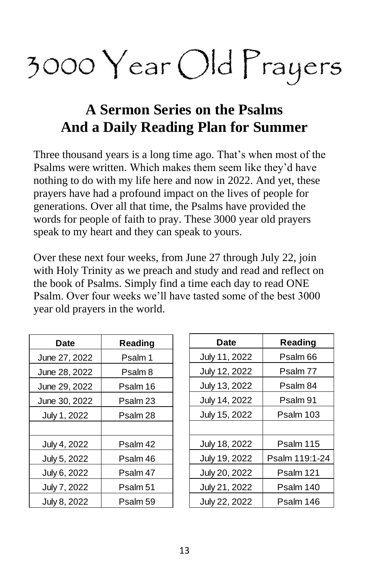# 3000  $\text{Year}$  Old Prayers

# **A Sermon Series on the Psalms And a Daily Reading Plan for Summer**

Three thousand years is a long time ago. That's when most of the Psalms were written. Which makes them seem like they'd have nothing to do with my life here and now in 2022. And yet, these prayers have had a profound impact on the lives of people for generations. Over all that time, the Psalms have provided the words for people of faith to pray. These 3000 year old prayers speak to my heart and they can speak to yours.

Over these next four weeks, from June 27 through July 22, join with Holy Trinity as we preach and study and read and reflect on the book of Psalms. Simply find a time each day to read ONE Psalm. Over four weeks we'll have tasted some of the best 3000 year old prayers in the world.

| Date          | Reading  |
|---------------|----------|
| June 27, 2022 | Psalm 1  |
| June 28, 2022 | Psalm 8  |
| June 29, 2022 | Psalm 16 |
| June 30, 2022 | Psalm 23 |
| July 1, 2022  | Psalm 28 |
|               |          |
| July 4, 2022  | Psalm 42 |
| July 5, 2022  | Psalm 46 |
| July 6, 2022  | Psalm 47 |
| July 7, 2022  | Psalm 51 |
| July 8, 2022  | Psalm 59 |

| Date          | Reading        |
|---------------|----------------|
| July 11, 2022 | Psalm 66       |
| July 12, 2022 | Psalm 77       |
| July 13, 2022 | Psalm 84       |
| July 14, 2022 | Psalm 91       |
| July 15, 2022 | Psalm 103      |
|               |                |
| July 18, 2022 | Psalm 115      |
| July 19, 2022 | Psalm 119:1-24 |
| July 20, 2022 | Psalm 121      |
| July 21, 2022 | Psalm 140      |
| July 22, 2022 | Psalm 146      |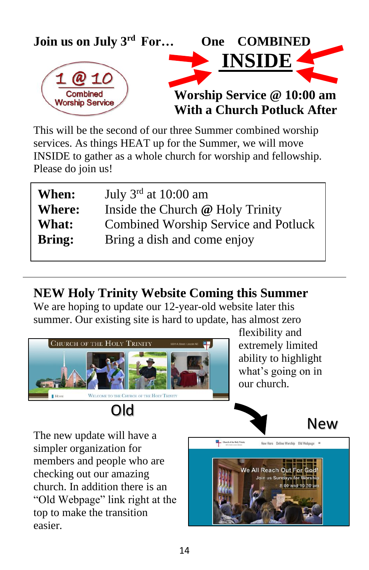

This will be the second of our three Summer combined worship services. As things HEAT up for the Summer, we will move INSIDE to gather as a whole church for worship and fellowship. Please do join us!

| When:         | July $3rd$ at 10:00 am                      |
|---------------|---------------------------------------------|
| <b>Where:</b> | Inside the Church @ Holy Trinity            |
| What:         | <b>Combined Worship Service and Potluck</b> |
| <b>Bring:</b> | Bring a dish and come enjoy                 |

**NEW Holy Trinity Website Coming this Summer**

We are hoping to update our 12-year-old website later this summer. Our existing site is hard to update, has almost zero



flexibility and extremely limited ability to highlight what's going on in our church.

New

The new update will have a simpler organization for members and people who are checking out our amazing church. In addition there is an "Old Webpage" link right at the top to make the transition easier.

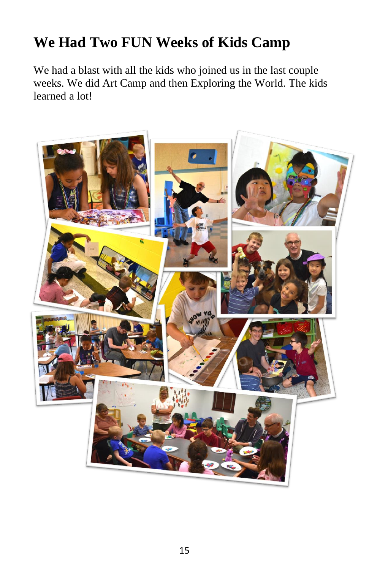# **We Had Two FUN Weeks of Kids Camp**

We had a blast with all the kids who joined us in the last couple weeks. We did Art Camp and then Exploring the World. The kids learned a lot!

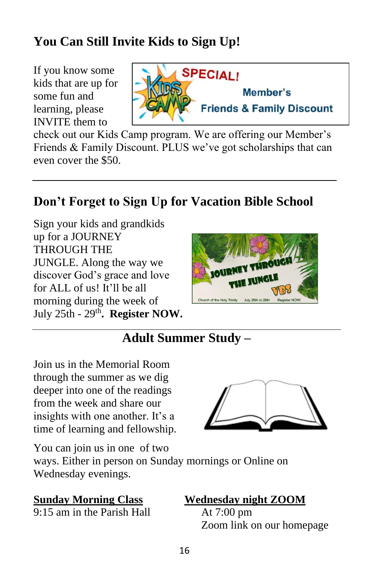# **You Can Still Invite Kids to Sign Up!**

If you know some kids that are up for some fun and learning, please INVITE them to



check out our Kids Camp program. We are offering our Member's Friends & Family Discount. PLUS we've got scholarships that can even cover the \$50.

# **Don't Forget to Sign Up for Vacation Bible School**

Sign your kids and grandkids up for a JOURNEY THROUGH THE JUNGLE. Along the way we discover God's grace and love for ALL of us! It'll be all morning during the week of July 25th - 29<sup>th</sup>. Register NOW.



## **Adult Summer Study –**

Join us in the Memorial Room through the summer as we dig deeper into one of the readings from the week and share our insights with one another. It's a time of learning and fellowship.



You can join us in one of two ways. Either in person on Sunday mornings or Online on Wednesday evenings.

9:15 am in the Parish Hall At 7:00 pm

#### **Sunday Morning Class Wednesday night ZOOM**

Zoom link on our homepage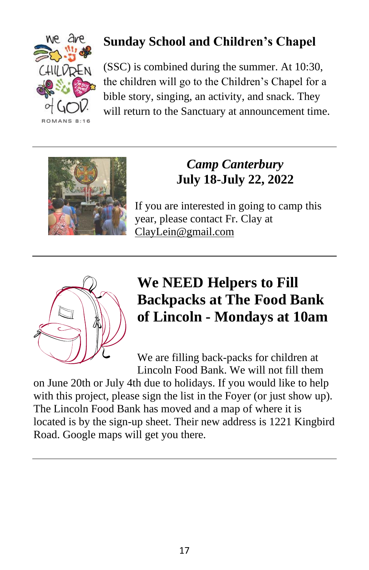

# **Sunday School and Children's Chapel**

(SSC) is combined during the summer. At 10:30, the children will go to the Children's Chapel for a bible story, singing, an activity, and snack. They will return to the Sanctuary at announcement time.



# *Camp Canterbury* **July 18-July 22, 2022**

If you are interested in going to camp this year, please contact Fr. Clay at [ClayLein@gmail.com](mailto:ClayLein@gmail.com)



# **We NEED Helpers to Fill Backpacks at The Food Bank of Lincoln - Mondays at 10am**

We are filling back-packs for children at Lincoln Food Bank. We will not fill them

on June 20th or July 4th due to holidays. If you would like to help with this project, please sign the list in the Foyer (or just show up). The Lincoln Food Bank has moved and a map of where it is located is by the sign-up sheet. Their new address is 1221 Kingbird Road. Google maps will get you there.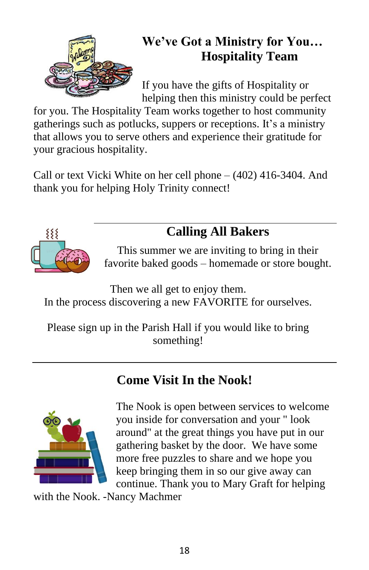

# **We've Got a Ministry for You… Hospitality Team**

If you have the gifts of Hospitality or helping then this ministry could be perfect

for you. The Hospitality Team works together to host community gatherings such as potlucks, suppers or receptions. It's a ministry that allows you to serve others and experience their gratitude for your gracious hospitality.

Call or text Vicki White on her cell phone – (402) 416-3404. And thank you for helping Holy Trinity connect!



# **Calling All Bakers**

This summer we are inviting to bring in their favorite baked goods – homemade or store bought.

Then we all get to enjoy them. In the process discovering a new FAVORITE for ourselves.

Please sign up in the Parish Hall if you would like to bring something!

# **Come Visit In the Nook!**



The Nook is open between services to welcome you inside for conversation and your " look around" at the great things you have put in our gathering basket by the door. We have some more free puzzles to share and we hope you keep bringing them in so our give away can continue. Thank you to Mary Graft for helping

with the Nook. -Nancy Machmer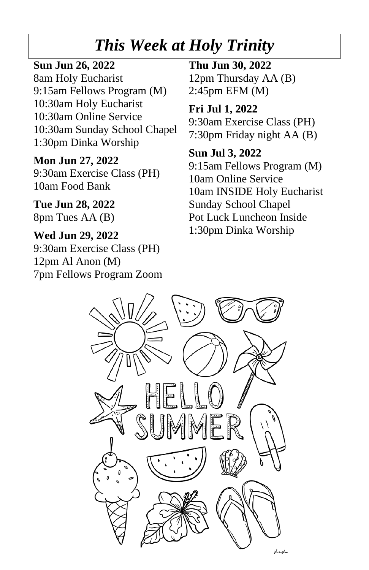# *This Week at Holy Trinity*

#### **Sun Jun 26, 2022**

8am Holy Eucharist 9:15am Fellows Program (M) 10:30am Holy Eucharist 10:30am Online Service 10:30am Sunday School Chapel 1:30pm Dinka Worship

#### **Mon Jun 27, 2022**

9:30am Exercise Class (PH) 10am Food Bank

**Tue Jun 28, 2022** 8pm Tues AA (B)

#### **Wed Jun 29, 2022** 9:30am Exercise Class (PH) 12pm Al Anon (M) 7pm Fellows Program Zoom

**Thu Jun 30, 2022** 12pm Thursday AA (B) 2:45pm EFM (M)

**Fri Jul 1, 2022** 9:30am Exercise Class (PH) 7:30pm Friday night AA (B)

**Sun Jul 3, 2022** 9:15am Fellows Program (M) 10am Online Service 10am INSIDE Holy Eucharist Sunday School Chapel Pot Luck Luncheon Inside 1:30pm Dinka Worship